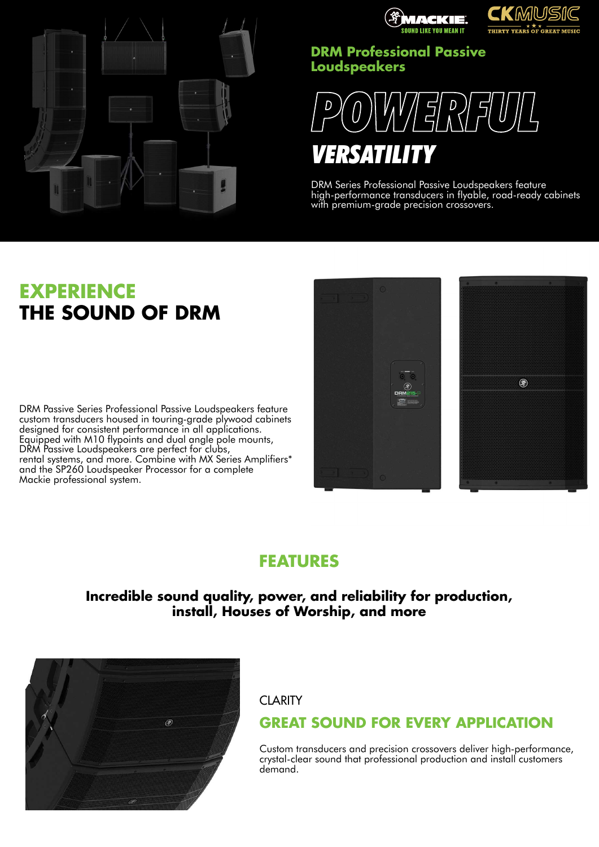



## **DRM Professional Passive Loudspeakers**



DRM Series Professional Passive Loudspeakers feature high-performance transducers in flyable, road-ready cabinets with premium-grade precision crossovers.

# **EXPERIENCE THE SOUND OF DRM**

DRM Passive Series Professional Passive Loudspeakers feature custom transducers housed in touring-grade plywood cabinets designed for consistent performance in all applications. Equipped with M10 flypoints and dual angle pole mounts, DRM Passive Loudspeakers are perfect for clubs, rental systems, and more. Combine with MX Series Amplifiers\* and the SP260 Loudspeaker Processor for a complete Mackie professional system.



# **FEATURES**

**Incredible sound quality, power, and reliability for production, install, Houses of Worship, and more**



**CLARITY** 

# **GREAT SOUND FOR EVERY APPLICATION**

Custom transducers and precision crossovers deliver high-performance, crystal-clear sound that professional production and install customers demand.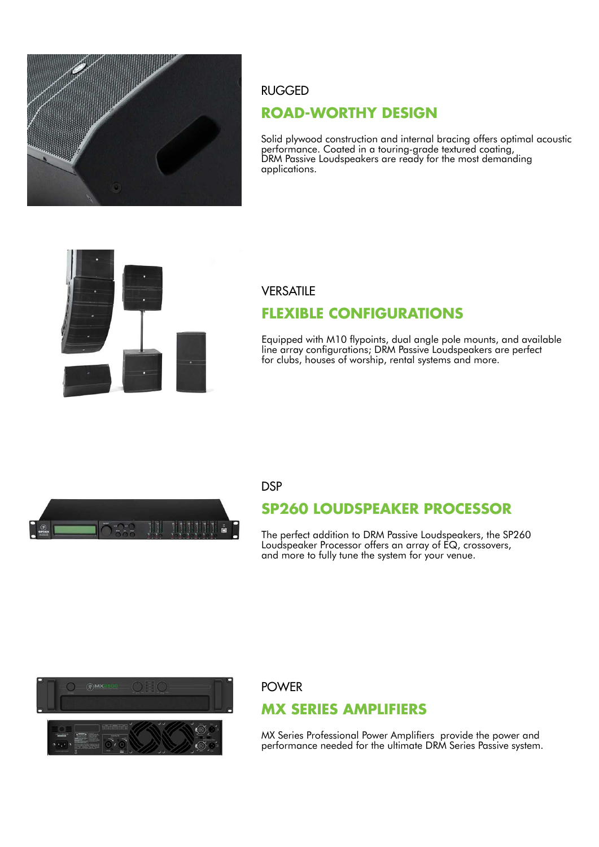

### RUGGED

## **ROAD-WORTHY DESIGN**

Solid plywood construction and internal bracing offers optimal acoustic performance. Coated in a touring-grade textured coating, DRM Passive Loudspeakers are ready for the most demanding applications.



### **VERSATILE**

## **FLEXIBLE CONFIGURATIONS**

Equipped with M10 flypoints, dual angle pole mounts, and available line array configurations; DRM Passive Loudspeakers are perfect for clubs, houses of worship, rental systems and more.



### **DSP**

# **SP260 LOUDSPEAKER PROCESSOR**

The perfect addition to DRM Passive Loudspeakers, the SP260 Loudspeaker Processor offers an array of EQ, crossovers, and more to fully tune the system for your venue.



### POWER

## **MX SERIES AMPLIFIERS**

MX Series Professional Power Amplifiers provide the power and performance needed for the ultimate DRM Series Passive system.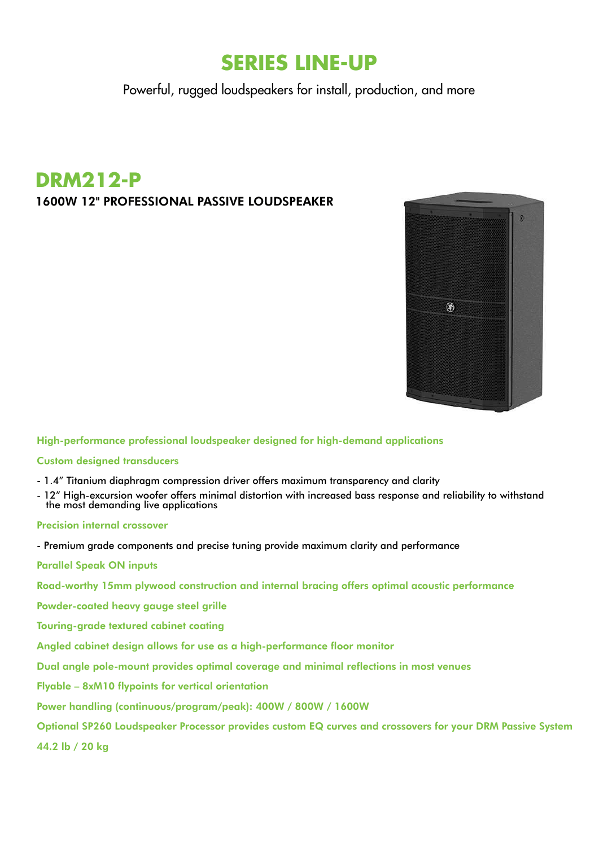# **SERIES LINE-UP**

Powerful, rugged loudspeakers for install, production, and more

# **DRM212-P**

### 1600W 12" PROFESSIONAL PASSIVE LOUDSPEAKER



High-performance professional loudspeaker designed for high-demand applications

### Custom designed transducers

- 1.4" Titanium diaphragm compression driver offers maximum transparency and clarity
- 12" High-excursion woofer offers minimal distortion with increased bass response and reliability to withstand the most demanding live applications

### Precision internal crossover

- Premium grade components and precise tuning provide maximum clarity and performance
- Parallel Speak ON inputs
- Road-worthy 15mm plywood construction and internal bracing offers optimal acoustic performance
- Powder-coated heavy gauge steel grille
- Touring-grade textured cabinet coating
- Angled cabinet design allows for use as a high-performance floor monitor
- Dual angle pole-mount provides optimal coverage and minimal reflections in most venues
- Flyable 8xM10 flypoints for vertical orientation
- Power handling (continuous/program/peak): 400W / 800W / 1600W
- Optional SP260 Loudspeaker Processor provides custom EQ curves and crossovers for your DRM Passive System
- 44.2 lb / 20 kg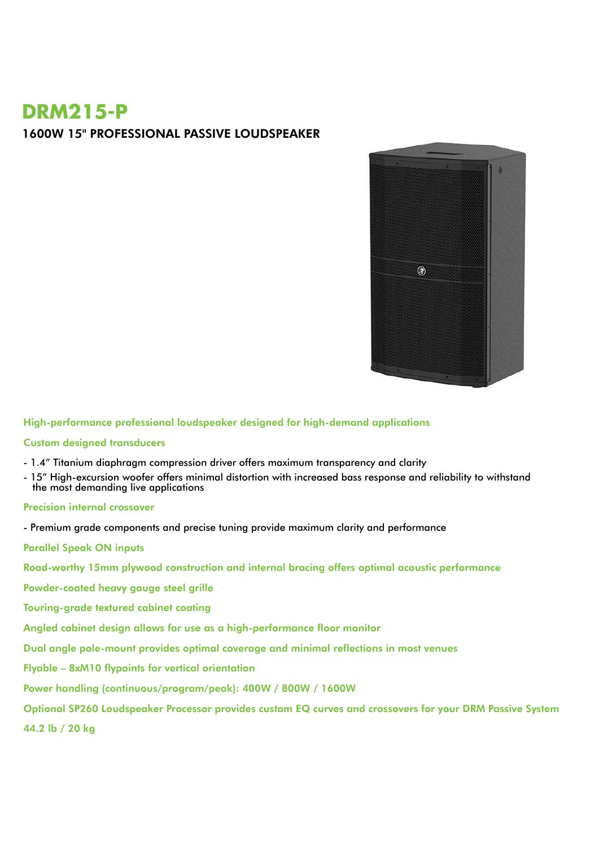# **DRM215-P**

### 1600W 15" PROFESSIONAL PASSIVE LOUDSPEAKER



High-performance professional loudspeaker designed for high-demand applications

#### Custom designed transducers

- 1.4" Titanium diaphragm compression driver offers maximum transparency and clarity
- 15" High-excursion woofer offers minimal distortion with increased bass response and reliability to withstand the most demanding live applications

### Precision internal crossover

- Premium grade components and precise tuning provide maximum clarity and performance

Parallel Speak ON inputs

Road-worthy 15mm plywood construction and internal bracing offers optimal acoustic performance

Powder-coated heavy gauge steel grille

Touring-grade textured cabinet coating

Angled cabinet design allows for use as a high-performance floor monitor

Dual angle pole-mount provides optimal coverage and minimal reflections in most venues

Flyable – 8xM10 flypoints for vertical orientation

Power handling (continuous/program/peak): 400W / 800W / 1600W

Optional SP260 Loudspeaker Processor provides custom EQ curves and crossovers for your DRM Passive System

44.2 lb / 20 kg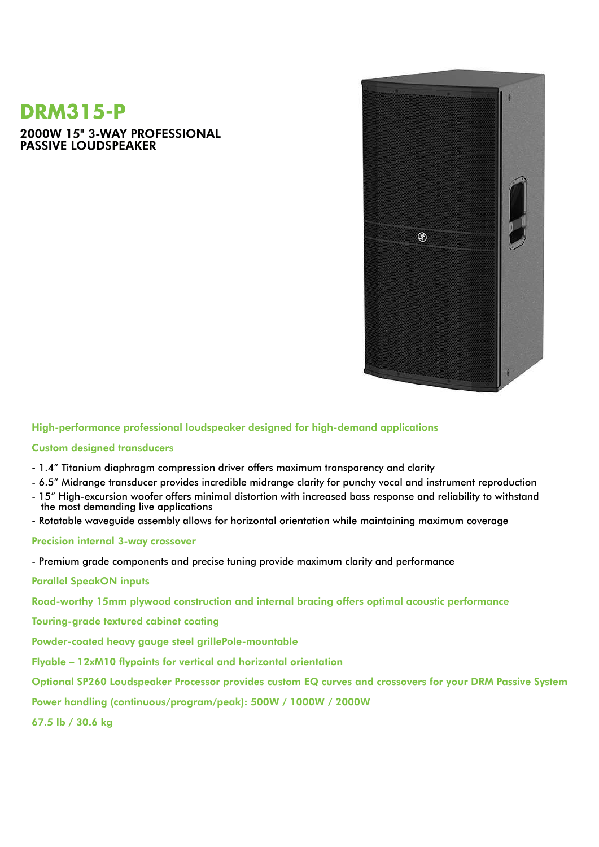# **DRM315-P**

2000W 15" 3-WAY PROFESSIONAL PASSIVE LOUDSPEAKER



High-performance professional loudspeaker designed for high-demand applications

### Custom designed transducers

- 1.4" Titanium diaphragm compression driver offers maximum transparency and clarity
- 6.5" Midrange transducer provides incredible midrange clarity for punchy vocal and instrument reproduction
- 15" High-excursion woofer offers minimal distortion with increased bass response and reliability to withstand the most demanding live applications
- Rotatable waveguide assembly allows for horizontal orientation while maintaining maximum coverage

### Precision internal 3-way crossover

- Premium grade components and precise tuning provide maximum clarity and performance

Parallel SpeakON inputs

Road-worthy 15mm plywood construction and internal bracing offers optimal acoustic performance

Touring-grade textured cabinet coating

Powder-coated heavy gauge steel grillePole-mountable

Flyable – 12xM10 flypoints for vertical and horizontal orientation

Optional SP260 Loudspeaker Processor provides custom EQ curves and crossovers for your DRM Passive System

Power handling (continuous/program/peak): 500W / 1000W / 2000W

67.5 lb / 30.6 kg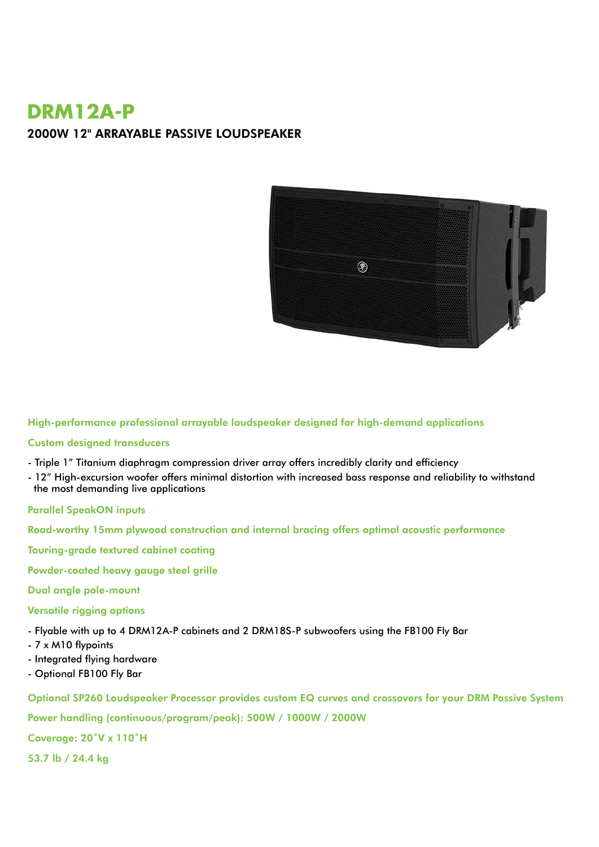# **DRM12A-P** 2000W 12" ARRAYABLE PASSIVE LOUDSPEAKER



High-performance professional arrayable loudspeaker designed for high-demand applications

### Custom designed transducers

- Triple 1" Titanium diaphragm compression driver array offers incredibly clarity and efficiency
- 12" High-excursion woofer offers minimal distortion with increased bass response and reliability to withstand the most demanding live applications

### Parallel SpeakON inputs

Road-worthy 15mm plywood construction and internal bracing offers optimal acoustic performance

Touring-grade textured cabinet coating

Powder-coated heavy gauge steel grille

#### Dual angle pole-mount

### Versatile rigging options

- Flyable with up to 4 DRM12A-P cabinets and 2 DRM18S-P subwoofers using the FB100 Fly Bar

- 7 x M10 flypoints
- Integrated flying hardware
- Optional FB100 Fly Bar

Optional SP260 Loudspeaker Processor provides custom EQ curves and crossovers for your DRM Passive System

Power handling (continuous/program/peak): 500W / 1000W / 2000W

Coverage: 20˚V x 110˚H

53.7 lb / 24.4 kg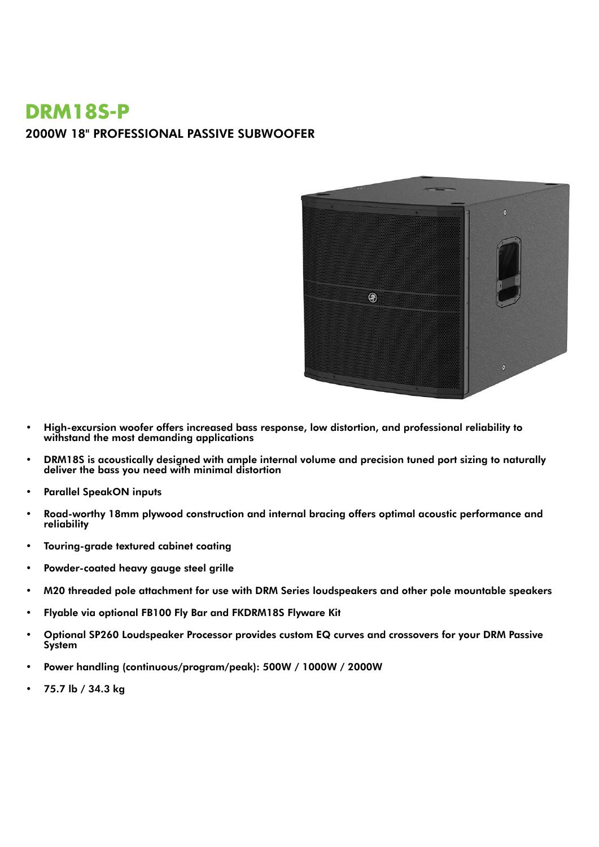# **DRM18S-P** 2000W 18" PROFESSIONAL PASSIVE SUBWOOFER



- High-excursion woofer offers increased bass response, low distortion, and professional reliability to withstand the most demanding applications
- DRM18S is acoustically designed with ample internal volume and precision tuned port sizing to naturally deliver the bass you need with minimal distortion
- Parallel SpeakON inputs
- Road-worthy 18mm plywood construction and internal bracing offers optimal acoustic performance and reliability
- Touring-grade textured cabinet coating
- Powder-coated heavy gauge steel grille
- M20 threaded pole attachment for use with DRM Series loudspeakers and other pole mountable speakers
- Flyable via optional FB100 Fly Bar and FKDRM18S Flyware Kit
- Optional SP260 Loudspeaker Processor provides custom EQ curves and crossovers for your DRM Passive **System**
- Power handling (continuous/program/peak): 500W / 1000W / 2000W
- 75.7 lb / 34.3 kg